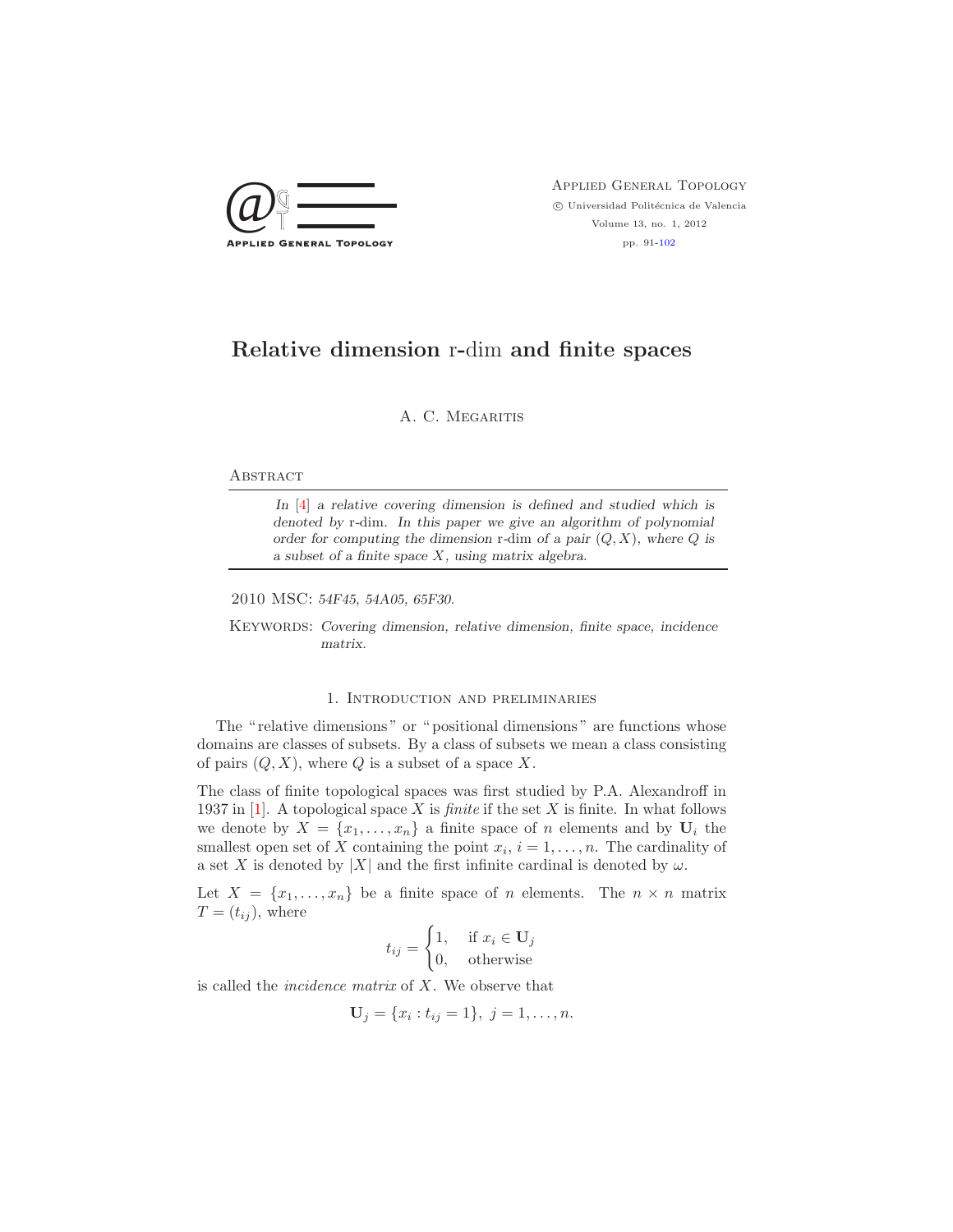

 $\bigcircled{Q} \bigcircled{} \overbrace{\top}$  APPLIED GENERAL TOPOLOGY  $\circled{}$  Universidad Politécnica de Valencia<br>Volume 13, no. 1, 2012  $\odot$ Universidad Politécnica de Valencia Volume 13, no. 1, 2012 pp. 91[-102](#page-11-0)

# **Relative dimension** r**-**dim **and finite spaces**

A. C. MEGARITIS

#### **ABSTRACT**

*In* [\[4\]](#page-11-1) *a relative covering dimension is defined and studied which is denoted by* r*-*dim*. In this paper we give an algorithm of polynomial order for computing the dimension* r*-*dim *of a pair* (*Q, X*)*, where Q is a subset of a finite space X, using matrix algebra.*

2010 MSC: *54F45, 54A05, 65F30.*

Keywords: *Covering dimension, relative dimension, finite space, incidence matrix.*

### 1. Introduction and preliminaries

The "relative dimensions" or "positional dimensions" are functions whose domains are classes of subsets. By a class of subsets we mean a class consisting of pairs  $(Q, X)$ , where Q is a subset of a space X.

The class of finite topological spaces was first studied by P.A. Alexandroff in 1937 in [\[1\]](#page-11-2). A topological space X is *finite* if the set X is finite. In what follows we denote by  $X = \{x_1, \ldots, x_n\}$  a finite space of n elements and by  $U_i$  the smallest open set of X containing the point  $x_i$ ,  $i = 1, \ldots, n$ . The cardinality of a set X is denoted by |X| and the first infinite cardinal is denoted by  $\omega$ .

Let  $X = \{x_1, \ldots, x_n\}$  be a finite space of n elements. The  $n \times n$  matrix  $T=(t_{ij}),$  where

$$
t_{ij} = \begin{cases} 1, & \text{if } x_i \in \mathbf{U}_j \\ 0, & \text{otherwise} \end{cases}
$$

is called the *incidence matrix* of X. We observe that

$$
\mathbf{U}_j = \{x_i : t_{ij} = 1\}, \ j = 1, \dots, n.
$$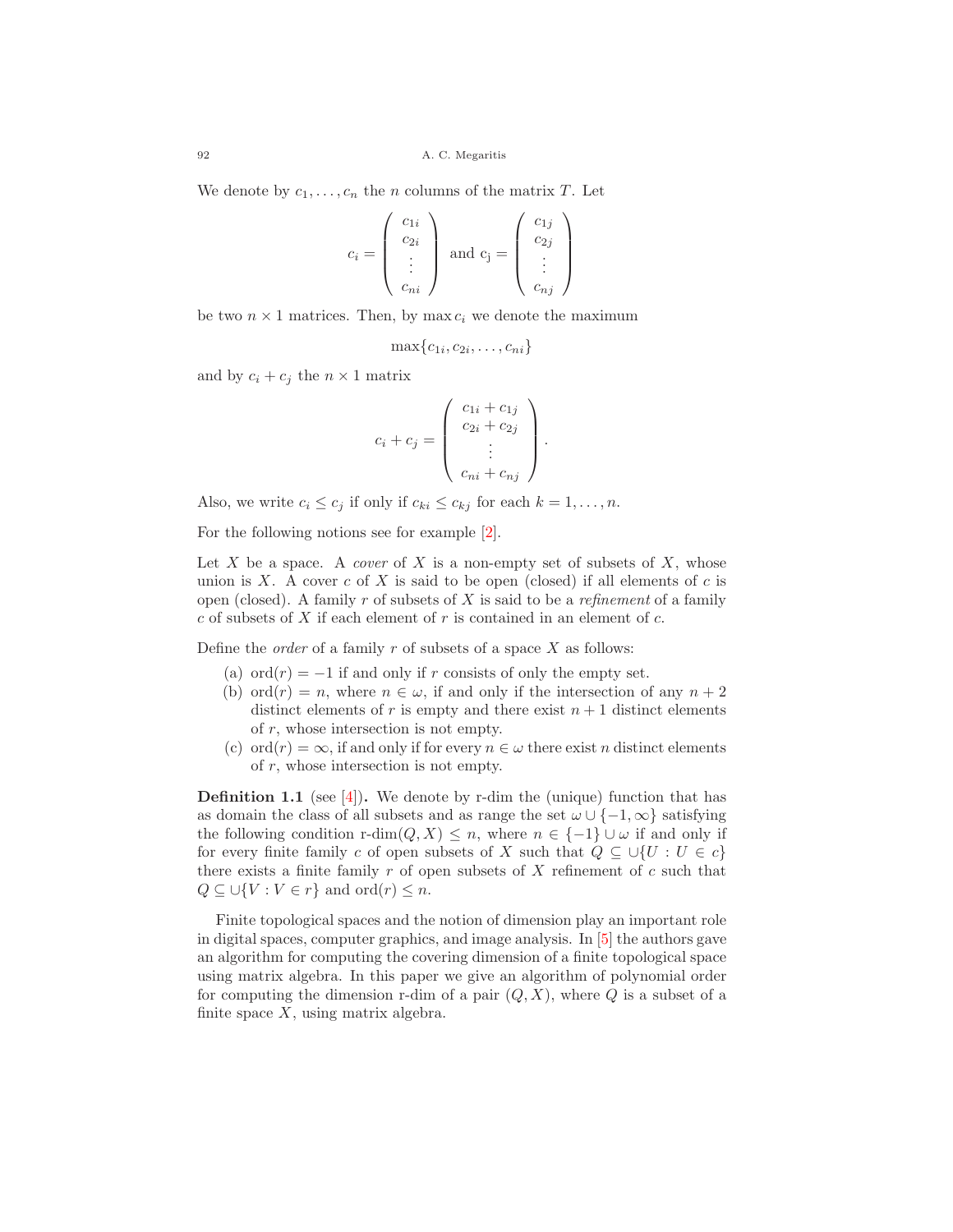We denote by  $c_1,\ldots,c_n$  the n columns of the matrix T. Let

$$
c_i = \begin{pmatrix} c_{1i} \\ c_{2i} \\ \vdots \\ c_{ni} \end{pmatrix} \text{ and } c_j = \begin{pmatrix} c_{1j} \\ c_{2j} \\ \vdots \\ c_{nj} \end{pmatrix}
$$

be two  $n \times 1$  matrices. Then, by max  $c_i$  we denote the maximum

$$
\max\{c_{1i},c_{2i},\ldots,c_{ni}\}
$$

and by  $c_i + c_j$  the  $n \times 1$  matrix

$$
c_i + c_j = \begin{pmatrix} c_{1i} + c_{1j} \\ c_{2i} + c_{2j} \\ \vdots \\ c_{ni} + c_{nj} \end{pmatrix}.
$$

Also, we write  $c_i \leq c_j$  if only if  $c_{ki} \leq c_{kj}$  for each  $k = 1, \ldots, n$ .

For the following notions see for example [\[2\]](#page-11-3).

Let  $X$  be a space. A *cover* of  $X$  is a non-empty set of subsets of  $X$ , whose union is X. A cover  $c$  of X is said to be open (closed) if all elements of  $c$  is open (closed). A family r of subsets of X is said to be a *refinement* of a family  $c$  of subsets of X if each element of  $r$  is contained in an element of  $c$ .

Define the *order* of a family r of subsets of a space X as follows:

- (a)  $\text{ord}(r) = -1$  if and only if r consists of only the empty set.
- (b) ord $(r) = n$ , where  $n \in \omega$ , if and only if the intersection of any  $n + 2$ distinct elements of r is empty and there exist  $n + 1$  distinct elements of  $r$ , whose intersection is not empty.
- (c) ord $(r) = \infty$ , if and only if for every  $n \in \omega$  there exist n distinct elements of  $r$ , whose intersection is not empty.

**Definition 1.1** (see [\[4\]](#page-11-1)). We denote by r-dim the (unique) function that has as domain the class of all subsets and as range the set  $\omega \cup \{-1, \infty\}$  satisfying the following condition r-dim( $Q, X$ )  $\leq n$ , where  $n \in \{-1\} \cup \omega$  if and only if for every finite family c of open subsets of X such that  $Q \subseteq \bigcup \{U : U \in c\}$ there exists a finite family  $r$  of open subsets of  $X$  refinement of  $c$  such that  $Q \subseteq \bigcup \{V : V \in r\}$  and  $\text{ord}(r) \leq n$ .

Finite topological spaces and the notion of dimension play an important role in digital spaces, computer graphics, and image analysis. In [\[5\]](#page-11-4) the authors gave an algorithm for computing the covering dimension of a finite topological space using matrix algebra. In this paper we give an algorithm of polynomial order for computing the dimension r-dim of a pair  $(Q, X)$ , where Q is a subset of a finite space  $X$ , using matrix algebra.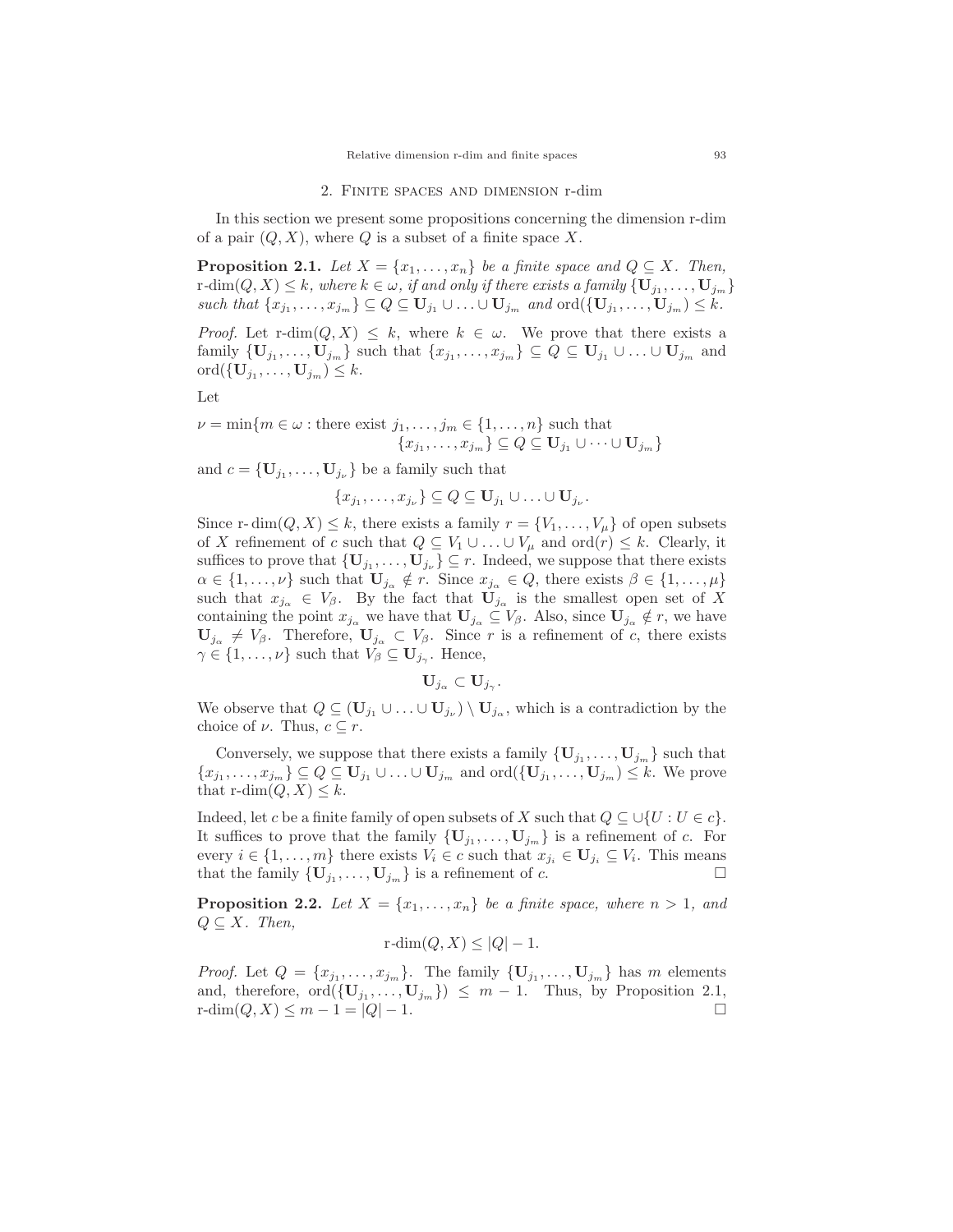#### 2. Finite spaces and dimension r-dim

In this section we present some propositions concerning the dimension r-dim of a pair  $(Q, X)$ , where Q is a subset of a finite space X.

**Proposition 2.1.** *Let*  $X = \{x_1, \ldots, x_n\}$  *be a finite space and*  $Q \subseteq X$ *. Then,*  $r$ -dim $(Q, X) \leq k$ , where  $k \in \omega$ , if and only if there exists a family  $\{U_{j_1}, \ldots, U_{j_m}\}$  $such that \{x_{j_1}, \ldots, x_{j_m}\} \subseteq Q \subseteq \mathbf{U}_{j_1} \cup \ldots \cup \mathbf{U}_{j_m} \text{ and } \text{ord}(\{\mathbf{U}_{j_1}, \ldots, \mathbf{U}_{j_m}\}) \leq k.$ 

*Proof.* Let  $\text{r-dim}(Q, X) \leq k$ , where  $k \in \omega$ . We prove that there exists a family  ${\bf\{U}}_{j_1},\ldots,{\bf{U}}_{j_m}$  such that  $\{x_{j_1},\ldots,x_{j_m}\}\subseteq Q\subseteq {\bf{U}}_{j_1}\cup \ldots\cup {\bf{U}}_{j_m}$  and ord $({{\bf{U}}}_{j_1},\ldots,{{\bf{U}}}_{j_m})\leq k$ .

Let

$$
\nu = \min\{m \in \omega : \text{there exist } j_1, \dots, j_m \in \{1, \dots, n\} \text{ such that } \{x_{j_1}, \dots, x_{j_m}\} \subseteq Q \subseteq \mathbf{U}_{j_1} \cup \dots \cup \mathbf{U}_{j_m}\}
$$

and  $c = {\mathbf{U}_{j_1}, \ldots, \mathbf{U}_{j_\nu}}$  be a family such that

$$
\{x_{j_1},\ldots,x_{j_\nu}\}\subseteq Q\subseteq \mathbf{U}_{j_1}\cup\ldots\cup \mathbf{U}_{j_\nu}.
$$

Since r- dim( $Q, X \leq k$ , there exists a family  $r = \{V_1, \ldots, V_\mu\}$  of open subsets of X refinement of c such that  $Q \subseteq V_1 \cup \ldots \cup V_\mu$  and  $\text{ord}(r) \leq k$ . Clearly, it suffices to prove that  ${\bf\{U}}_{j_1},\ldots,{\bf{U}}_{j_\nu}\}\subseteq r$ . Indeed, we suppose that there exists  $\alpha \in \{1, \ldots, \nu\}$  such that  $\mathbf{U}_{j\alpha} \notin r$ . Since  $x_{j\alpha} \in Q$ , there exists  $\beta \in \{1, \ldots, \mu\}$ such that  $x_{j\alpha} \in V_\beta$ . By the fact that  $\mathbf{U}_{j\alpha}$  is the smallest open set of X containing the point  $x_{j\alpha}$  we have that  $\mathbf{U}_{j\alpha} \subseteq V_{\beta}$ . Also, since  $\mathbf{U}_{j\alpha} \notin r$ , we have  $\mathbf{U}_{j\alpha} \neq V_{\beta}$ . Therefore,  $\mathbf{U}_{j\alpha} \subset V_{\beta}$ . Since r is a refinement of c, there exists  $\gamma \in \{1, \ldots, \nu\}$  such that  $V_\beta \subseteq \mathbf{U}_{j_\gamma}$ . Hence,

$$
\mathbf{U}_{j_{\alpha}}\subset\mathbf{U}_{j_{\gamma}}.
$$

We observe that  $Q \subseteq (\mathbf{U}_{j_1} \cup \ldots \cup \mathbf{U}_{j_\nu}) \setminus \mathbf{U}_{j_\alpha}$ , which is a contradiction by the choice of  $\nu$ . Thus,  $c \subseteq r$ .

Conversely, we suppose that there exists a family  ${\bf\{U}}_{j_1},\ldots,{\bf U}_{j_m}$  such that  ${x_{j_1},...,x_{j_m}} \subseteq Q \subseteq \mathbf{U}_{j_1} \cup ... \cup \mathbf{U}_{j_m}$  and  $\text{ord}(\{\mathbf{U}_{j_1},..., \mathbf{U}_{j_m}\}) \leq k$ . We prove that  $r\text{-dim}(Q, X) \leq k$ .

Indeed, let c be a finite family of open subsets of X such that  $Q \subseteq \bigcup \{U : U \in c\}$ . It suffices to prove that the family  ${\bf \{U}}_{j_1},\ldots,{\bf U}_{j_m}$  is a refinement of c. For every  $i \in \{1, \ldots, m\}$  there exists  $V_i \in c$  such that  $x_{j_i} \in \mathbf{U}_{j_i} \subseteq V_i$ . This means that the family  ${\bf \{U}_{i_1},\ldots, U_{i_m}\}$  is a refinement of c.

**Proposition 2.2.** Let  $X = \{x_1, \ldots, x_n\}$  be a finite space, where  $n > 1$ , and  $Q \subseteq X$ *. Then,* 

$$
r\text{-dim}(Q, X) \le |Q| - 1.
$$

*Proof.* Let  $Q = \{x_{j_1}, \ldots, x_{j_m}\}$ . The family  $\{\mathbf{U}_{j_1}, \ldots, \mathbf{U}_{j_m}\}$  has m elements and, therefore,  $\text{ord}(\{\mathbf{U}_{j_1},\ldots,\mathbf{U}_{j_m}\}) \leq m - 1$ . Thus, by Proposition 2.1,  $\text{r-dim}(Q, X) \leq m - 1 = |Q| - 1$ .  $r\text{-dim}(Q, X) \leq m - 1 = |Q| - 1.$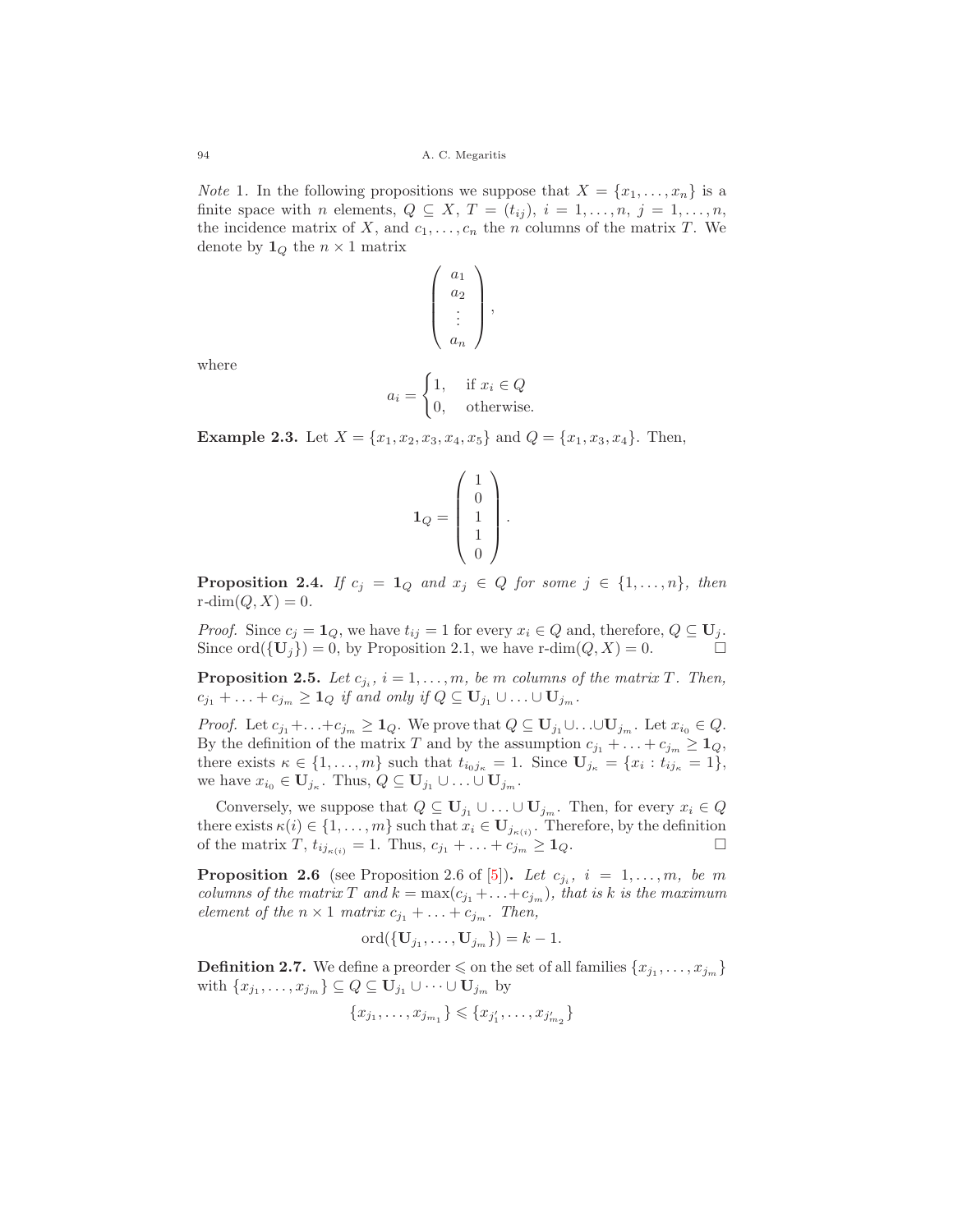*Note* 1. In the following propositions we suppose that  $X = \{x_1, \ldots, x_n\}$  is a finite space with n elements,  $Q \subseteq X$ ,  $T = (t_{ij})$ ,  $i = 1, \ldots, n$ ,  $j = 1, \ldots, n$ , the incidence matrix of X, and  $c_1, \ldots, c_n$  the n columns of the matrix T. We denote by  $\mathbf{1}_Q$  the  $n \times 1$  matrix

$$
\left(\begin{array}{c} a_1 \\ a_2 \\ \vdots \\ a_n \end{array}\right),
$$

where

$$
a_i = \begin{cases} 1, & \text{if } x_i \in Q \\ 0, & \text{otherwise.} \end{cases}
$$

**Example 2.3.** Let  $X = \{x_1, x_2, x_3, x_4, x_5\}$  and  $Q = \{x_1, x_3, x_4\}$ . Then,

$$
\mathbf{1}_Q = \left( \begin{array}{c} 1 \\ 0 \\ 1 \\ 1 \\ 0 \end{array} \right).
$$

**Proposition 2.4.** *If*  $c_j = 1_Q$  *and*  $x_j \in Q$  *for some*  $j \in \{1, ..., n\}$ *, then*  $r\text{-dim}(Q, X)=0.$ 

*Proof.* Since  $c_j = \mathbf{1}_Q$ , we have  $t_{ij} = 1$  for every  $x_i \in Q$  and, therefore,  $Q \subseteq \mathbf{U}_j$ . Since ord $({\bf{U}}_j) = 0$ , by Proposition 2.1, we have r-dim $(Q, X) = 0$ .

**Proposition 2.5.** *Let*  $c_{j_i}$ ,  $i = 1, \ldots, m$ , *be* m *columns of the matrix* T. Then,  $c_{j_1} + \ldots + c_{j_m} \geq 1_Q$  *if and only if*  $Q \subseteq U_{j_1} \cup \ldots \cup U_{j_m}$ .

*Proof.* Let  $c_{j_1} + \ldots + c_{j_m} \geq \mathbf{1}_Q$ . We prove that  $Q \subseteq \mathbf{U}_{j_1} \cup \ldots \cup \mathbf{U}_{j_m}$ . Let  $x_{i_0} \in Q$ . By the definition of the matrix T and by the assumption  $c_{j_1} + \ldots + c_{j_m} \geq 1_Q$ , there exists  $\kappa \in \{1, \ldots, m\}$  such that  $t_{i_0j_\kappa} = 1$ . Since  $\mathbf{U}_{j_\kappa} = \{x_i : t_{ij_\kappa} = 1\},$ we have  $x_{i_0} \in \mathbf{U}_{j_k}$ . Thus,  $Q \subseteq \mathbf{U}_{j_1} \cup \ldots \cup \mathbf{U}_{j_m}$ .

Conversely, we suppose that  $Q \subseteq \mathbf{U}_{j_1} \cup \ldots \cup \mathbf{U}_{j_m}$ . Then, for every  $x_i \in Q$ there exists  $\kappa(i) \in \{1, \ldots, m\}$  such that  $x_i \in \mathbf{U}_{j_{\kappa(i)}}$ . Therefore, by the definition of the matrix  $T_i t_{\kappa(i)} = 1$ . Thus  $c_i + \cdots + c_i > 1$ . of the matrix  $T$ ,  $t_{ij_{\kappa(i)}} = 1$ . Thus,  $c_{j_1} + ... + c_{j_m} \ge 1_Q$ .

**Proposition 2.6** (see Proposition 2.6 of [\[5\]](#page-11-4)). Let  $c_{j_i}$ ,  $i = 1, \ldots, m$ , be m *columns of the matrix* T and  $k = \max(c_{j_1} + \ldots + c_{j_m})$ *, that is* k *is the maximum element of the*  $n \times 1$  *matrix*  $c_{j_1} + \ldots + c_{j_m}$ *. Then,* 

$$
\mathrm{ord}(\{\mathbf{U}_{j_1},\ldots,\mathbf{U}_{j_m}\})=k-1.
$$

**Definition 2.7.** We define a preorder  $\leq$  on the set of all families  $\{x_{j_1}, \ldots, x_{j_m}\}$ with  $\{x_{j_1}, \ldots, x_{j_m}\} \subseteq Q \subseteq \mathbf{U}_{j_1} \cup \cdots \cup \mathbf{U}_{j_m}$  by

$$
\{x_{j_1},\ldots,x_{j_{m_1}}\} \leqslant \{x_{j'_1},\ldots,x_{j'_{m_2}}\}
$$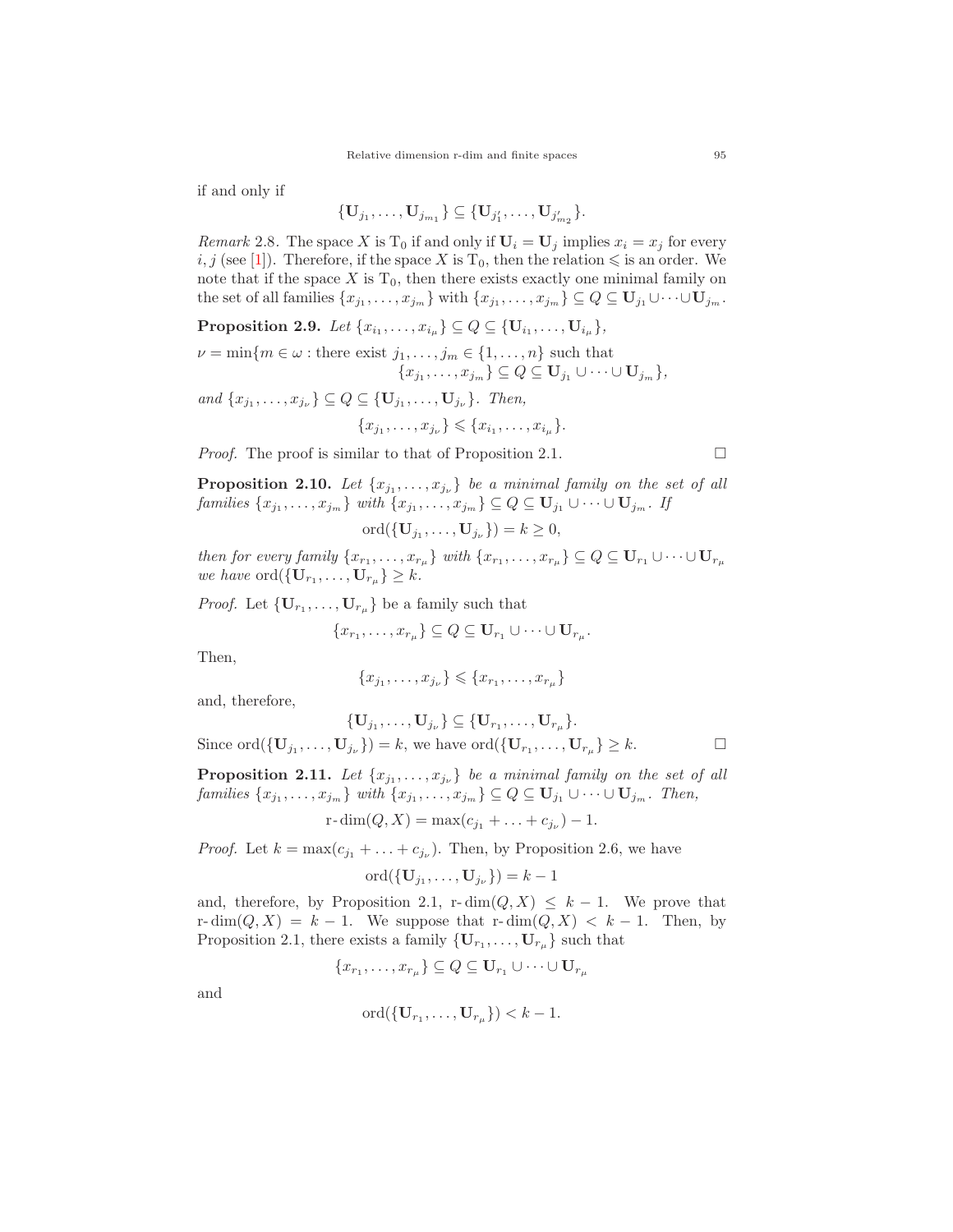if and only if

$$
\{U_{j_1},\ldots,U_{j_{m_1}}\}\subseteq \{U_{j'_1},\ldots,U_{j'_{m_2}}\}.
$$

*Remark* 2.8. The space X is T<sub>0</sub> if and only if  $U_i = U_j$  implies  $x_i = x_j$  for every  $i, j$  (see [\[1\]](#page-11-2)). Therefore, if the space X is T<sub>0</sub>, then the relation  $\leq$  is an order. We note that if the space  $X$  is  $T_0$ , then there exists exactly one minimal family on the set of all families  $\{x_{j_1}, \ldots, x_{j_m}\}$  with  $\{x_{j_1}, \ldots, x_{j_m}\} \subseteq Q \subseteq \mathbf{U}_{j_1} \cup \cdots \cup \mathbf{U}_{j_m}$ .

**Proposition 2.9.** *Let*  $\{x_{i_1}, \ldots, x_{i_\mu}\} \subseteq Q \subseteq \{U_{i_1}, \ldots, U_{i_\mu}\},\$ 

$$
\nu = \min\{m \in \omega : \text{there exist } j_1, \dots, j_m \in \{1, \dots, n\} \text{ such that } \{x_{j_1}, \dots, x_{j_m}\} \subseteq Q \subseteq U_{j_1} \cup \dots \cup U_{j_m}\},\
$$

*and*  $\{x_{j_1},...,x_{j_\nu}\} \subseteq Q \subseteq \{U_{j_1},...,U_{j_\nu}\}$ *. Then,*  ${x_1, \ldots, x_k} < {x_k, \ldots, x_k}$ 

$$
\{x_{j_1},\ldots,x_{j_\nu}\}\leqslant \{x_{i_1},\ldots,x_{i_\mu}\}
$$

*Proof.* The proof is similar to that of Proposition 2.1.  $\Box$ 

**Proposition 2.10.** *Let*  $\{x_{j_1}, \ldots, x_{j_\nu}\}$  *be a minimal family on the set of all families*  $\{x_{j_1}, \ldots, x_{j_m}\}$  *with*  $\{x_{j_1}, \ldots, x_{j_m}\} \subseteq Q \subseteq \mathbf{U}_{j_1} \cup \cdots \cup \mathbf{U}_{j_m}$ *. If* 

ord $({{\bf{U}}_{j_1},\ldots,{\bf{U}}_{j_\nu}})=k\geq 0,$ 

*then for every family*  $\{x_{r_1}, \ldots, x_{r_\mu}\}$  *with*  $\{x_{r_1}, \ldots, x_{r_\mu}\} \subseteq Q \subseteq \mathbf{U}_{r_1} \cup \cdots \cup \mathbf{U}_{r_\mu}$ *we have* ord $({{\bf{U}}_{r_1}, \ldots ,{\bf{U}}_{r_\mu}}) \geq k$ .

*Proof.* Let  ${\bf U}_{r_1}, \ldots, {\bf U}_{r_\mu}$  be a family such that

$$
\{x_{r_1},\ldots,x_{r_\mu}\}\subseteq Q\subseteq \mathbf{U}_{r_1}\cup\cdots\cup \mathbf{U}_{r_\mu}.
$$

Then,

$$
\{x_{j_1},\ldots,x_{j_\nu}\}\leqslant\{x_{r_1},\ldots,x_{r_\mu}\}\
$$

and, therefore,

$$
\{\mathbf U_{j_1},\ldots,\mathbf U_{j_\nu}\}\subseteq \{\mathbf U_{r_1},\ldots,\mathbf U_{r_\mu}\}.
$$

Since ord $({\bf{U}}_{j_1},..., {\bf{U}}_{j_\nu}) = k$ , we have ord $({\bf{U}}_{r_1},..., {\bf{U}}_{r_\mu}) \geq k$ .

**Proposition 2.11.** *Let*  $\{x_{j_1}, \ldots, x_{j_\nu}\}$  *be a minimal family on the set of all families*  $\{x_{j_1}, \ldots, x_{j_m}\}$  *with*  $\{x_{j_1}, \ldots, x_{j_m}\} \subseteq Q \subseteq \mathbf{U}_{j_1} \cup \cdots \cup \mathbf{U}_{j_m}$ *. Then,* 

$$
r
$$
-dim $(Q, X)$  = max $(c_{j_1} + ... + c_{j_\nu}) - 1$ .

*Proof.* Let  $k = \max(c_{j_1} + \ldots + c_{j_\nu})$ . Then, by Proposition 2.6, we have

$$
\mathrm{ord}(\{\mathbf{U}_{j_1},\ldots,\mathbf{U}_{j_\nu}\})=k-1
$$

and, therefore, by Proposition 2.1, r- $\dim(Q, X) \leq k - 1$ . We prove that r-dim $(Q, X) = k - 1$ . We suppose that r-dim $(Q, X) < k - 1$ . Then, by Proposition 2.1, there exists a family  ${\bf \{U}}_{r_1}, \ldots, {\bf U}_{r_\mu}$  such that

$$
\{x_{r_1},\ldots,x_{r_{\mu}}\}\subseteq Q\subseteq \mathbf{U}_{r_1}\cup\cdots\cup\mathbf{U}_{r_{\mu}}
$$

and

$$
\mathrm{ord}(\{\mathbf{U}_{r_1},\ldots,\mathbf{U}_{r_\mu}\}) < k-1.
$$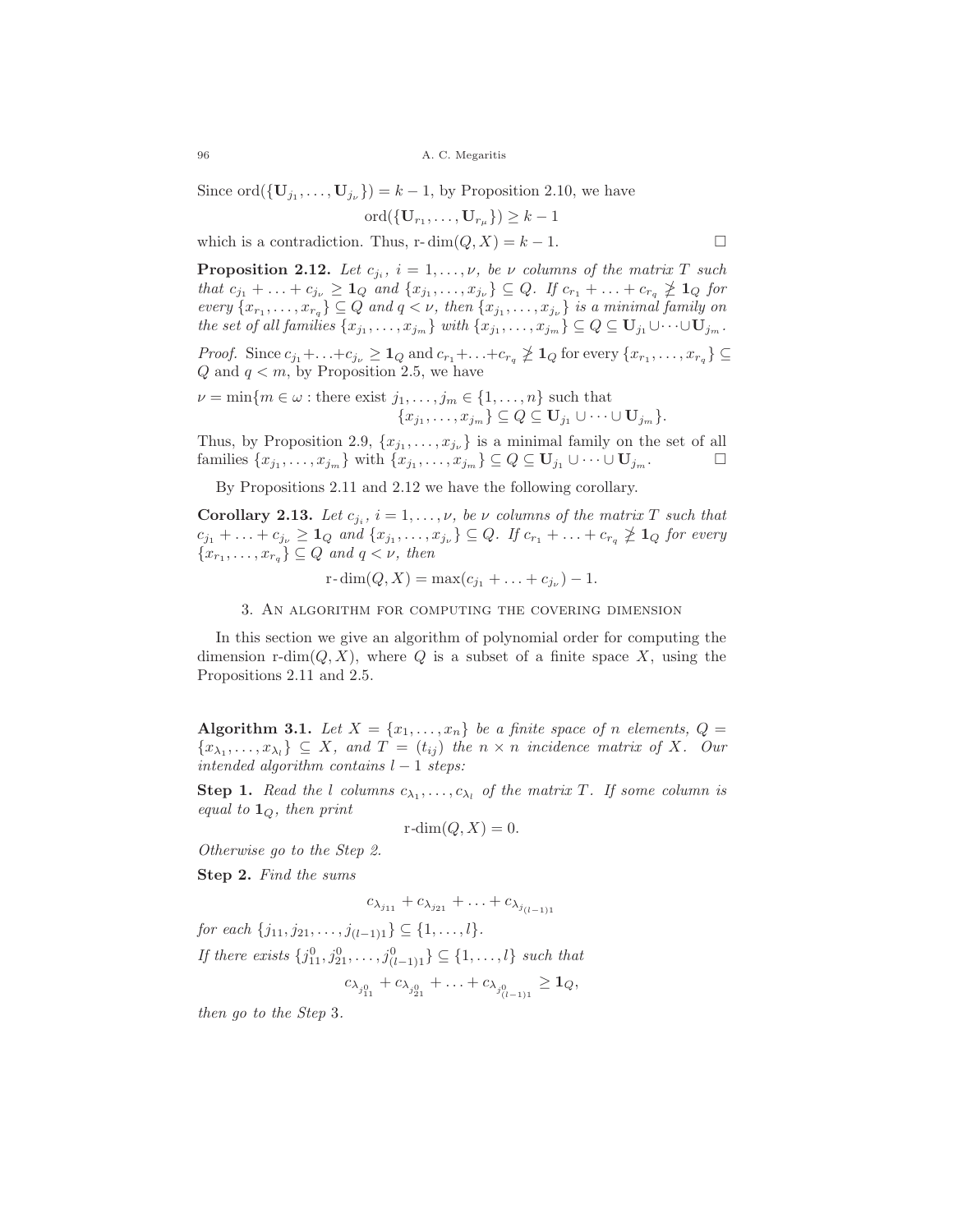96 A. C. Megaritis

Since ord $({\bf{U}}_{j_1},..., {\bf{U}}_{j_\nu}) = k - 1$ , by Proposition 2.10, we have

$$
\mathrm{ord}(\{\mathbf{U}_{r_1},\ldots,\mathbf{U}_{r_\mu}\})\geq k-1
$$

which is a contradiction. Thus, r- $\dim(Q, X) = k - 1$ .

**Proposition 2.12.** *Let*  $c_{j_i}$ ,  $i = 1, \ldots, \nu$ , *be*  $\nu$  *columns of the matrix* T *such* that  $c_{j_1} + \ldots + c_{j_\nu} \geq \mathbf{1}_Q$  and  $\{x_{j_1}, \ldots, x_{j_\nu}\} \subseteq Q$ . If  $c_{r_1} + \ldots + c_{r_q} \ngeq \mathbf{1}_Q$  for every  $\{x_{r_1}, \ldots, x_{r_q}\} \subseteq Q$  and  $q < \nu$ , then  $\{x_{j_1}, \ldots, x_{j_\nu}\}$  is a minimal family on *the set of all families*  $\{x_{j_1}, \ldots, x_{j_m}\}$  *with*  $\{x_{j_1}, \ldots, x_{j_m}\} \subseteq Q \subseteq \mathbf{U}_{j_1} \cup \cdots \cup \mathbf{U}_{j_m}$ .

*Proof.* Since  $c_{j_1} + \ldots + c_{j_\nu} \geq 1_Q$  and  $c_{r_1} + \ldots + c_{r_q} \ngeq 1_Q$  for every  $\{x_{r_1}, \ldots, x_{r_q}\} \subseteq$  $Q$  and  $q < m$ , by Proposition 2.5, we have

$$
\nu = \min\{m \in \omega : \text{there exist } j_1, \dots, j_m \in \{1, \dots, n\} \text{ such that } \{x_{j_1}, \dots, x_{j_m}\} \subseteq Q \subseteq \mathbf{U}_{j_1} \cup \dots \cup \mathbf{U}_{j_m}\}.
$$

Thus, by Proposition 2.9,  $\{x_{j_1}, \ldots, x_{j_{\nu}}\}$  is a minimal family on the set of all families  $\{x_{j_1},...,x_{j_m}\}$  with  $\{x_{j_1},...,x_{j_m}\}\subseteq Q\subseteq \mathbf{U}_{j_1}\cup\cdots\cup\mathbf{U}_{j_m}$ .  $\Box$ 

By Propositions 2.11 and 2.12 we have the following corollary.

**Corollary 2.13.** *Let*  $c_{j_i}$ ,  $i = 1, \ldots, \nu$ , be  $\nu$  *columns of the matrix* T *such that*  $c_{j_1} + \ldots + c_{j_\nu} \geq 1_Q$  and  $\{x_{j_1}, \ldots, x_{j_\nu}\} \subseteq Q$ . If  $c_{r_1} + \ldots + c_{r_q} \not\geq 1_Q$  for every  ${x_{r_1}, \ldots, x_{r_q}} \subseteq Q$  *and*  $q < \nu$ *, then* 

 $r\text{-dim}(Q, X) = \max(c_{j_1} + \ldots + c_{j_\nu}) - 1.$ 

3. An algorithm for computing the covering dimension

In this section we give an algorithm of polynomial order for computing the dimension r-dim( $Q, X$ ), where  $Q$  is a subset of a finite space X, using the Propositions 2.11 and 2.5.

**Algorithm 3.1.** *Let*  $X = \{x_1, \ldots, x_n\}$  *be a finite space of n elements,*  $Q =$  ${x_{\lambda_1}, \ldots, x_{\lambda_l}} \subseteq X$ , and  $T = (t_{ij})$  the  $n \times n$  incidence matrix of X. Our *intended algorithm contains* l − 1 *steps:*

**Step 1.** *Read the l columns*  $c_{\lambda_1}, \ldots, c_{\lambda_l}$  *of the matrix* T. If some column is *equal to* **<sup>1</sup>**<sup>Q</sup>*, then print*

$$
r\text{-dim}(Q, X) = 0.
$$

*Otherwise go to the Step 2.*

**Step 2.** *Find the sums*

$$
c_{\lambda_{j_{11}}} + c_{\lambda_{j_{21}}} + \ldots + c_{\lambda_{j_{(l-1)1}}}
$$

*for each*  $\{j_{11}, j_{21}, \ldots, j_{(l-1)1}\} \subseteq \{1, \ldots, l\}.$ 

*If there exists*  $\{j_{11}^0, j_{21}^0, \ldots, j_{(l-1)1}^0\} \subseteq \{1, \ldots, l\}$  *such that* 

$$
c_{\lambda_{j_{11}^0}} + c_{\lambda_{j_{21}^0}} + \ldots + c_{\lambda_{j_{(l-1)1}^0}} \ge 1_Q,
$$

*then go to the Step* 3*.*

 $\Box$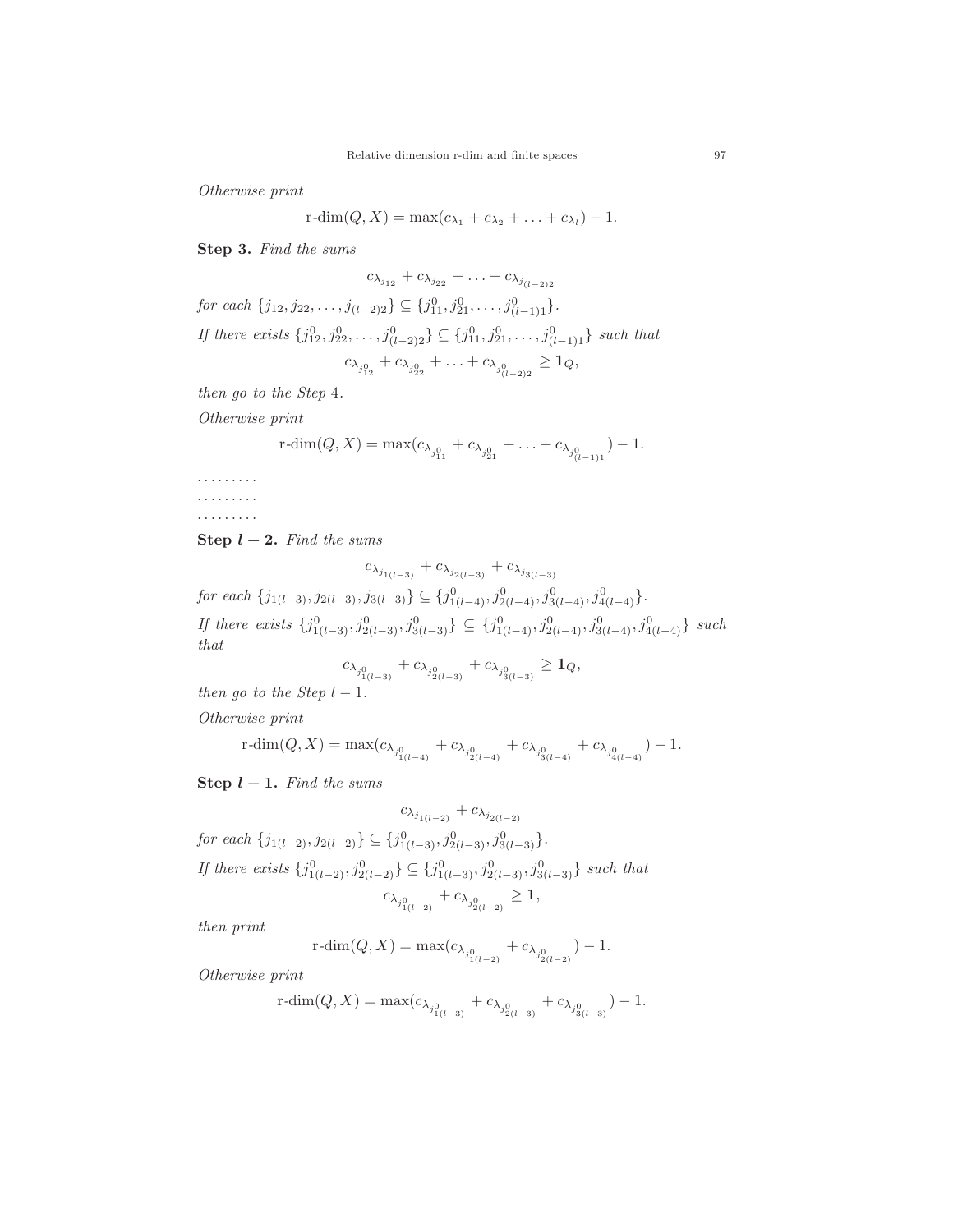*Otherwise print*

$$
r\text{-dim}(Q, X) = \max(c_{\lambda_1} + c_{\lambda_2} + \ldots + c_{\lambda_l}) - 1.
$$

**Step 3.** *Find the sums*

$$
c_{\lambda_{j_{12}}} + c_{\lambda_{j_{22}}} + \ldots + c_{\lambda_{j_{(l-2)2}}}
$$
  
for each  $\{j_{12}, j_{22}, \ldots, j_{(l-2)2}\} \subseteq \{j_{11}^0, j_{21}^0, \ldots, j_{(l-1)1}^0\}$ .  
If there exists  $\{j_{12}^0, j_{22}^0, \ldots, j_{(l-2)2}^0\} \subseteq \{j_{11}^0, j_{21}^0, \ldots, j_{(l-1)1}^0\}$  such that  

$$
c_{\lambda_{j_{12}^0}} + c_{\lambda_{j_{22}^0}} + \ldots + c_{\lambda_{j_{(l-2)2}^0}} \ge 1_Q,
$$

*then go to the Step* 4*.*

*Otherwise print*

$$
r\text{-dim}(Q, X) = \max(c_{\lambda_{j_{11}^0}} + c_{\lambda_{j_{21}^0}} + \ldots + c_{\lambda_{j_{(l-1)1}^0}}) - 1.
$$

.........

......... .........

**Step**  $l - 2$ *. Find the sums* 

$$
c_{\lambda_{j_{1(l-3)}}} + c_{\lambda_{j_{2(l-3)}}} + c_{\lambda_{j_{3(l-3)}}}
$$
  
for each  $\{j_{1(l-3)}, j_{2(l-3)}, j_{3(l-3)}\} \subseteq \{j_{1(l-4)}^0, j_{2(l-4)}^0, j_{3(l-4)}^0, j_{4(l-4)}^0\}.$ 

*If there exists*  $\{j_{1(l-3)}^0, j_{2(l-3)}^0, j_{3(l-3)}^0\}$  ⊆  $\{j_{1(l-4)}^0, j_{2(l-4)}^0, j_{3(l-4)}^0, j_{4(l-4)}^0\}$  *such that*

$$
c_{\lambda_{j_{1(l-3)}^0}} + c_{\lambda_{j_{2(l-3)}^0}} + c_{\lambda_{j_{3(l-3)}^0}} \ge 1_Q,
$$

*then go to the Step*  $l - 1$ *.* 

*Otherwise print*

$$
\operatorname{r-dim}(Q, X) = \max(c_{\lambda_{j^0_{1(l-4)}}} + c_{\lambda_{j^0_{2(l-4)}}} + c_{\lambda_{j^0_{3(l-4)}}} + c_{\lambda_{j^0_{4(l-4)}}}) - 1.
$$

**Step**  $l - 1$ *. Find the sums* 

$$
c_{\lambda_{j_{1(l-2)}}} + c_{\lambda_{j_{2(l-2)}}}
$$
  
for each  $\{j_{1(l-2)}, j_{2(l-2)}\} \subseteq \{j_{1(l-3)}^0, j_{2(l-3)}^0, j_{3(l-3)}^0\}.$   
If there exists  $\{j_{1(l-2)}^0, j_{2(l-2)}^0\} \subseteq \{j_{1(l-3)}^0, j_{2(l-3)}^0, j_{3(l-3)}^0\}$  such that  

$$
c_{\lambda_{j_{1(l-2)}}} + c_{\lambda_{j_{2(l-2)}}} \ge 1,
$$

*then print*

$$
\mathrm{r\text{-}dim}(Q,X)=\max(c_{\lambda_{j_{1(l-2)}^0}}+c_{\lambda_{j_{2(l-2)}^0}})-1.
$$

*Otherwise print*

$$
\operatorname{r-dim}(Q,X)=\max(c_{\lambda_{j^0_{1(l-3)}}}+c_{\lambda_{j^0_{2(l-3)}}}+c_{\lambda_{j^0_{3(l-3)}}})-1.
$$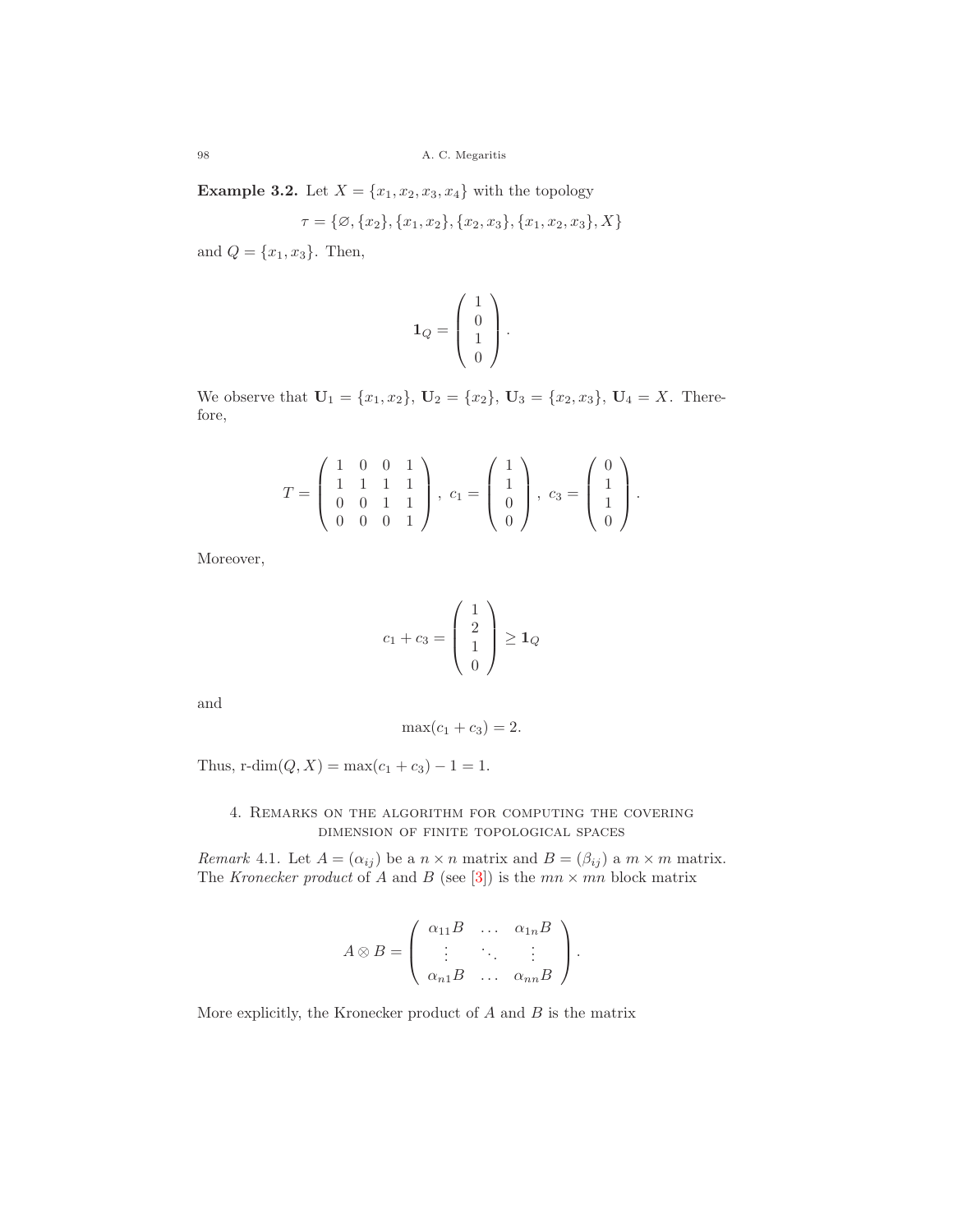**Example 3.2.** Let  $X = \{x_1, x_2, x_3, x_4\}$  with the topology

$$
\tau = \{ \varnothing, \{x_2\}, \{x_1, x_2\}, \{x_2, x_3\}, \{x_1, x_2, x_3\}, X \}
$$

and  $Q = \{x_1, x_3\}$ . Then,

$$
\mathbf{1}_Q = \left(\begin{array}{c} 1 \\ 0 \\ 1 \\ 0 \end{array}\right).
$$

We observe that  $U_1 = \{x_1, x_2\}$ ,  $U_2 = \{x_2\}$ ,  $U_3 = \{x_2, x_3\}$ ,  $U_4 = X$ . Therefore,

$$
T = \left(\begin{array}{rrr} 1 & 0 & 0 & 1 \\ 1 & 1 & 1 & 1 \\ 0 & 0 & 1 & 1 \\ 0 & 0 & 0 & 1 \end{array}\right), \ c_1 = \left(\begin{array}{r} 1 \\ 1 \\ 0 \\ 0 \end{array}\right), \ c_3 = \left(\begin{array}{r} 0 \\ 1 \\ 1 \\ 0 \end{array}\right).
$$

Moreover,

$$
c_1 + c_3 = \begin{pmatrix} 1 \\ 2 \\ 1 \\ 0 \end{pmatrix} \ge \mathbf{1}_Q
$$

and

$$
\max(c_1+c_3)=2.
$$

Thus,  $r\text{-dim}(Q, X) = \max(c_1 + c_3) - 1 = 1.$ 

## 4. Remarks on the algorithm for computing the covering dimension of finite topological spaces

*Remark* 4.1. Let  $A = (\alpha_{ij})$  be a  $n \times n$  matrix and  $B = (\beta_{ij})$  a  $m \times m$  matrix. The *Kronecker product* of A and B (see [\[3\]](#page-11-5)) is the  $mn \times mn$  block matrix

$$
A \otimes B = \left( \begin{array}{ccc} \alpha_{11}B & \dots & \alpha_{1n}B \\ \vdots & \ddots & \vdots \\ \alpha_{n1}B & \dots & \alpha_{nn}B \end{array} \right).
$$

More explicitly, the Kronecker product of  $A$  and  $B$  is the matrix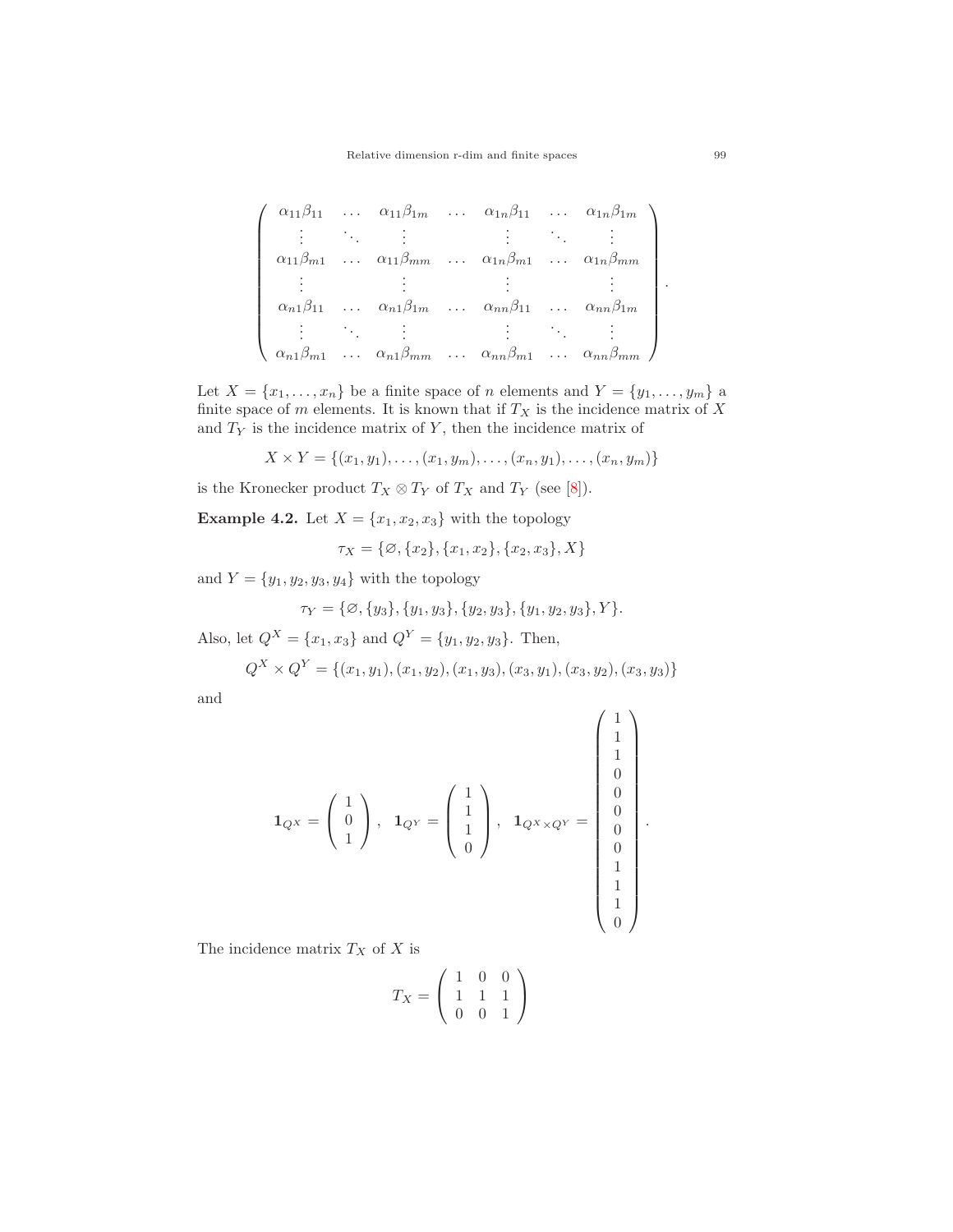$$
\begin{pmatrix}\n\alpha_{11}\beta_{11} & \cdots & \alpha_{11}\beta_{1m} & \cdots & \alpha_{1n}\beta_{11} & \cdots & \alpha_{1n}\beta_{1m} \\
\vdots & \ddots & \vdots & & \vdots & \ddots & \vdots \\
\alpha_{11}\beta_{m1} & \cdots & \alpha_{11}\beta_{mm} & \cdots & \alpha_{1n}\beta_{m1} & \cdots & \alpha_{1n}\beta_{mm} \\
\vdots & \vdots & & \vdots & & \vdots \\
\alpha_{n1}\beta_{11} & \cdots & \alpha_{n1}\beta_{1m} & \cdots & \alpha_{nn}\beta_{11} & \cdots & \alpha_{nn}\beta_{1m} \\
\vdots & \ddots & \vdots & & \vdots & \ddots & \vdots \\
\alpha_{n1}\beta_{m1} & \cdots & \alpha_{n1}\beta_{mm} & \cdots & \alpha_{nn}\beta_{m1} & \cdots & \alpha_{nn}\beta_{mm}\n\end{pmatrix}.
$$

Let  $X = \{x_1, \ldots, x_n\}$  be a finite space of n elements and  $Y = \{y_1, \ldots, y_m\}$  a finite space of  $m$  elements. It is known that if  $T_X$  is the incidence matrix of  $X$ and  $T_Y$  is the incidence matrix of Y, then the incidence matrix of

$$
X \times Y = \{(x_1, y_1), \dots, (x_1, y_m), \dots, (x_n, y_1), \dots, (x_n, y_m)\}\
$$

is the Kronecker product  $T_X \otimes T_Y$  of  $T_X$  and  $T_Y$  (see [\[8\]](#page-11-6)).

**Example 4.2.** Let  $X = \{x_1, x_2, x_3\}$  with the topology

 $\tau_X = \{ \emptyset, \{x_2\}, \{x_1, x_2\}, \{x_2, x_3\}, X \}$ 

and  $Y = \{y_1, y_2, y_3, y_4\}$  with the topology

$$
\tau_Y = \{ \emptyset, \{y_3\}, \{y_1, y_3\}, \{y_2, y_3\}, \{y_1, y_2, y_3\}, Y \}.
$$

Also, let  $Q^X = \{x_1, x_3\}$  and  $Q^Y = \{y_1, y_2, y_3\}$ . Then,

$$
Q^X \times Q^Y = \{(x_1, y_1), (x_1, y_2), (x_1, y_3), (x_3, y_1), (x_3, y_2), (x_3, y_3)\}
$$

and

$$
\mathbf{1}_{Q^X} = \begin{pmatrix} 1 \\ 0 \\ 1 \\ 1 \end{pmatrix}, \ \ \mathbf{1}_{Q^Y} = \begin{pmatrix} 1 \\ 1 \\ 1 \\ 0 \\ 0 \end{pmatrix}, \ \ \mathbf{1}_{Q^X \times Q^Y} = \begin{pmatrix} 1 \\ 1 \\ 0 \\ 0 \\ 0 \\ 1 \\ 1 \\ 1 \\ 1 \\ 0 \end{pmatrix}.
$$

The incidence matrix  $T_X$  of X is

$$
T_X = \left(\begin{array}{rrr} 1 & 0 & 0 \\ 1 & 1 & 1 \\ 0 & 0 & 1 \end{array}\right)
$$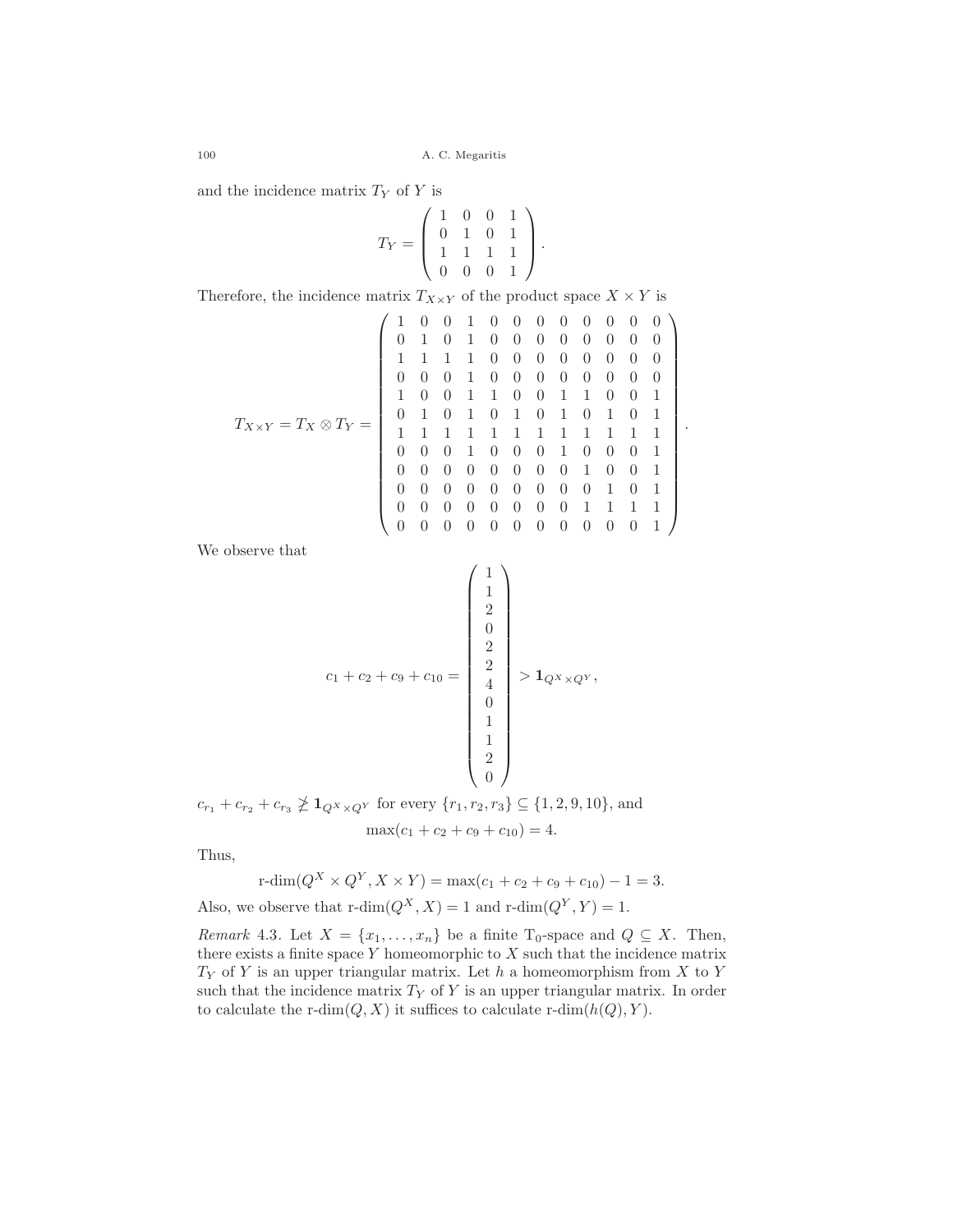and the incidence matrix  $T_Y$  of  $Y$  is

$$
T_Y = \left(\begin{array}{rrr} 1 & 0 & 0 & 1 \\ 0 & 1 & 0 & 1 \\ 1 & 1 & 1 & 1 \\ 0 & 0 & 0 & 1 \end{array}\right).
$$

Therefore, the incidence matrix  $T_{X\times Y}$  of the product space  $X\times Y$  is

$$
T_{X\times Y} = T_X \otimes T_Y = \left(\begin{array}{cccccccccc} 1 & 0 & 0 & 1 & 0 & 0 & 0 & 0 & 0 & 0 & 0 & 0 & 0 \\ 0 & 1 & 0 & 1 & 0 & 0 & 0 & 0 & 0 & 0 & 0 & 0 \\ 1 & 1 & 1 & 1 & 0 & 0 & 0 & 0 & 0 & 0 & 0 & 0 \\ 0 & 0 & 0 & 1 & 0 & 0 & 0 & 0 & 0 & 0 & 0 & 0 \\ 1 & 0 & 0 & 1 & 1 & 0 & 0 & 1 & 1 & 0 & 0 & 1 \\ 0 & 1 & 0 & 1 & 0 & 1 & 0 & 1 & 0 & 1 & 0 & 1 \\ 0 & 1 & 0 & 1 & 0 & 1 & 0 & 1 & 0 & 1 & 0 & 1 \\ 0 & 0 & 0 & 1 & 0 & 0 & 0 & 1 & 0 & 0 & 0 & 1 \\ 0 & 0 & 0 & 0 & 0 & 0 & 0 & 0 & 1 & 0 & 0 & 1 \\ 0 & 0 & 0 & 0 & 0 & 0 & 0 & 0 & 0 & 1 & 1 & 1 & 1 \\ 0 & 0 & 0 & 0 & 0 & 0 & 0 & 0 & 0 & 1 & 1 & 1 & 1 \\ 0 & 0 & 0 & 0 & 0 & 0 & 0 & 0 & 0 & 0 & 0 & 1 \end{array}\right).
$$

We observe that

$$
c_{1} + c_{2} + c_{9} + c_{10} = \begin{pmatrix} 1 \\ 1 \\ 2 \\ 0 \\ 2 \\ 2 \\ 4 \\ 0 \\ 1 \\ 1 \\ 2 \\ 2 \\ 0 \end{pmatrix} > \mathbf{1}_{Q^{X} \times Q^{Y}},
$$

 $c_{r_1} + c_{r_2} + c_{r_3} \ngeq \mathbf{1}_{Q^X \times Q^Y}$  for every  $\{r_1, r_2, r_3\} \subseteq \{1, 2, 9, 10\}$ , and  $\max(c_1 + c_2 + c_9 + c_{10}) = 4.$ 

Thus,

$$
\text{r-dim}(Q^X \times Q^Y, X \times Y) = \max(c_1 + c_2 + c_9 + c_{10}) - 1 = 3.
$$
  
Also, we observe that 
$$
\text{r-dim}(Q^X, X) = 1 \text{ and } \text{r-dim}(Q^Y, Y) = 1.
$$

*Remark* 4.3*.* Let  $X = \{x_1, \ldots, x_n\}$  be a finite T<sub>0</sub>-space and  $Q \subseteq X$ . Then, there exists a finite space  $Y$  homeomorphic to  $X$  such that the incidence matrix  $T_Y$  of Y is an upper triangular matrix. Let h a homeomorphism from X to Y such that the incidence matrix  $T_Y$  of Y is an upper triangular matrix. In order to calculate the r-dim $(Q, X)$  it suffices to calculate r-dim $(h(Q), Y)$ .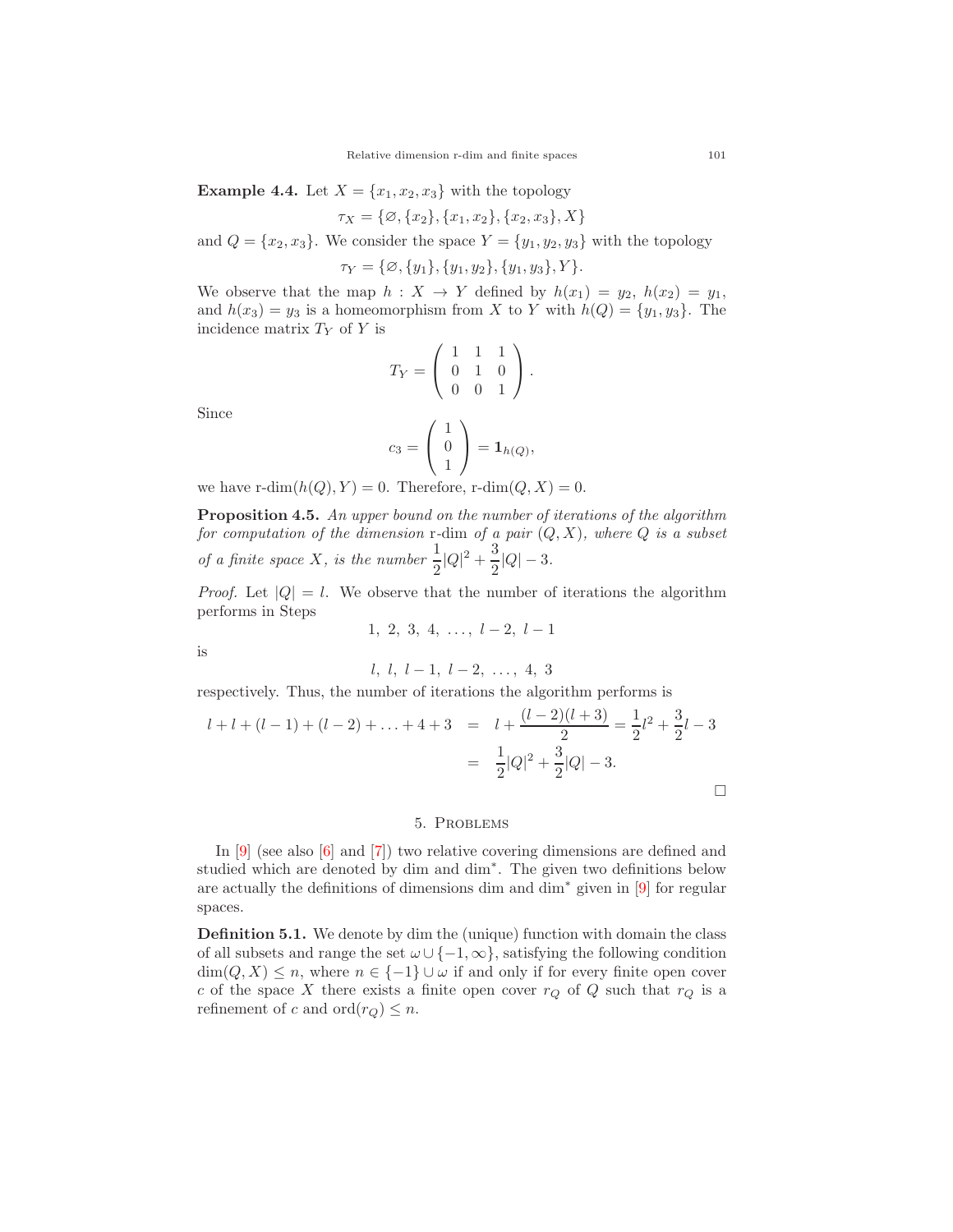**Example 4.4.** Let  $X = \{x_1, x_2, x_3\}$  with the topology

$$
\tau_X = \{ \emptyset, \{x_2\}, \{x_1, x_2\}, \{x_2, x_3\}, X \}
$$

and  $Q = \{x_2, x_3\}$ . We consider the space  $Y = \{y_1, y_2, y_3\}$  with the topology

 $\tau_Y = \{ \emptyset, \{y_1\}, \{y_1, y_2\}, \{y_1, y_3\}, Y \}.$ 

We observe that the map  $h: X \to Y$  defined by  $h(x_1) = y_2, h(x_2) = y_1$ , and  $h(x_3) = y_3$  is a homeomorphism from X to Y with  $h(Q) = \{y_1, y_3\}$ . The incidence matrix  $T_Y$  of Y is

$$
T_Y = \left(\begin{array}{rrr} 1 & 1 & 1 \\ 0 & 1 & 0 \\ 0 & 0 & 1 \end{array}\right).
$$

Since

$$
c_3 = \left(\begin{array}{c} 1 \\ 0 \\ 1 \end{array}\right) = \mathbf{1}_{h(Q)},
$$

we have  $\text{r-dim}(h(Q), Y) = 0$ . Therefore,  $\text{r-dim}(Q, X) = 0$ .

**Proposition 4.5.** *An upper bound on the number of iterations of the algorithm for computation of the dimension* r*-*dim *of a pair* (Q, X)*, where* Q *is a subset of a finite space* X, *is the number*  $\frac{1}{2}|Q|^2 + \frac{3}{2}$  $\frac{8}{2}|Q| - 3.$ 

*Proof.* Let  $|Q| = l$ . We observe that the number of iterations the algorithm performs in Steps

$$
1, 2, 3, 4, \ldots, l-2, l-1
$$

is

$$
l, l, l-1, l-2, \ldots, 4, 3
$$

respectively. Thus, the number of iterations the algorithm performs is

$$
l + l + (l - 1) + (l - 2) + \dots + 4 + 3 = l + \frac{(l - 2)(l + 3)}{2} = \frac{1}{2}l^2 + \frac{3}{2}l - 3
$$

$$
= \frac{1}{2}|Q|^2 + \frac{3}{2}|Q| - 3.
$$

## 5. Problems

In [\[9\]](#page-11-7) (see also [\[6\]](#page-11-8) and [\[7\]](#page-11-9)) two relative covering dimensions are defined and studied which are denoted by dim and dim∗. The given two definitions below are actually the definitions of dimensions dim and dim<sup>∗</sup> given in [\[9\]](#page-11-7) for regular spaces.

**Definition 5.1.** We denote by dim the (unique) function with domain the class of all subsets and range the set  $\omega \cup \{-1, \infty\}$ , satisfying the following condition  $\dim(Q, X) \leq n$ , where  $n \in \{-1\} \cup \omega$  if and only if for every finite open cover c of the space X there exists a finite open cover  $r_Q$  of Q such that  $r_Q$  is a refinement of c and  $\text{ord}(r_Q) \leq n$ .